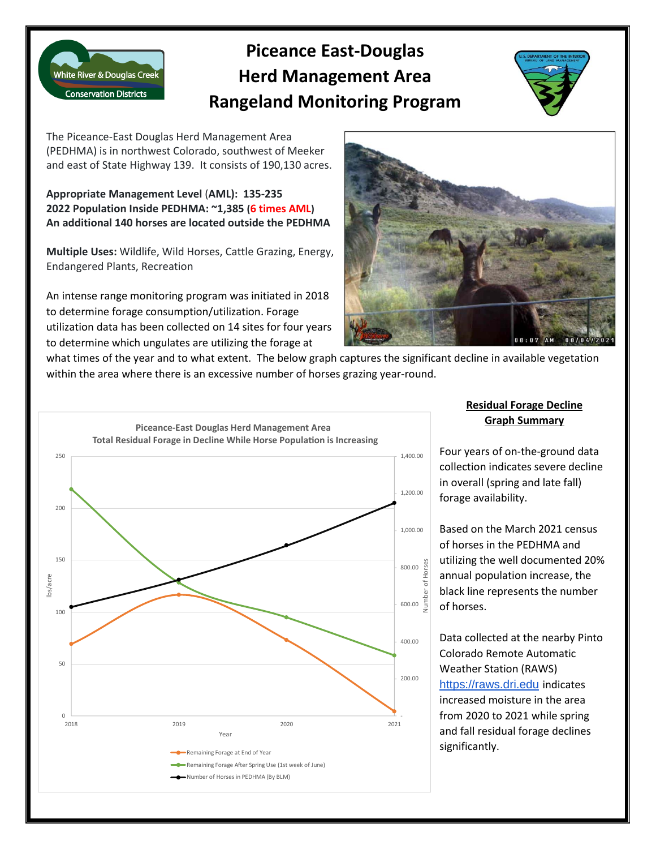## **Piceance East-Douglas Herd Management Area Rangeland Monitoring Program**



The Piceance-East Douglas Herd Management Area (PEDHMA) is in northwest Colorado, southwest of Meeker and east of State Highway 139. It consists of 190,130 acres.

White River & Douglas Creek **Conservation Districts** 

**Appropriate Management Level** (**AML): 135-235 2022 Population Inside PEDHMA: ~1,385 (6 times AML) An additional 140 horses are located outside the PEDHMA** 

**Multiple Uses:** Wildlife, Wild Horses, Cattle Grazing, Energy, Endangered Plants, Recreation

An intense range monitoring program was initiated in 2018 to determine forage consumption/utilization. Forage utilization data has been collected on 14 sites for four years to determine which ungulates are utilizing the forage at



what times of the year and to what extent. The below graph captures the significant decline in available vegetation within the area where there is an excessive number of horses grazing year-round.



## **Residual Forage Decline Graph Summary**

Four years of on-the-ground data collection indicates severe decline in overall (spring and late fall) forage availability.

Based on the March 2021 census of horses in the PEDHMA and utilizing the well documented 20% annual population increase, the black line represents the number of horses.

Data collected at the nearby Pinto Colorado Remote Automatic Weather Station (RAWS) [https://raws.dri.edu](https://raws.dri.edu/) indicates increased moisture in the area from 2020 to 2021 while spring and fall residual forage declines significantly.